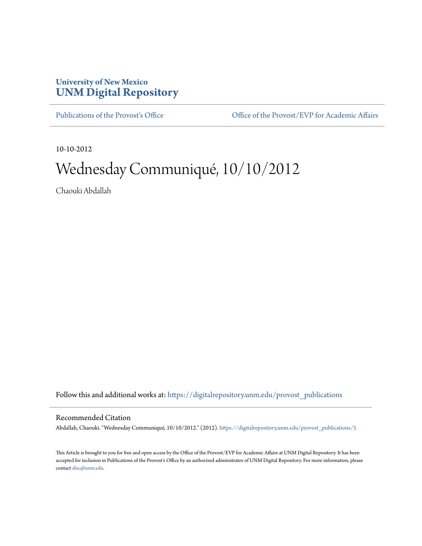## **University of New Mexico [UNM Digital Repository](https://digitalrepository.unm.edu?utm_source=digitalrepository.unm.edu%2Fprovost_publications%2F5&utm_medium=PDF&utm_campaign=PDFCoverPages)**

[Publications of the Provost's Office](https://digitalrepository.unm.edu/provost_publications?utm_source=digitalrepository.unm.edu%2Fprovost_publications%2F5&utm_medium=PDF&utm_campaign=PDFCoverPages) Office [Office of the Provost/EVP for Academic Affairs](https://digitalrepository.unm.edu/ofc_provost?utm_source=digitalrepository.unm.edu%2Fprovost_publications%2F5&utm_medium=PDF&utm_campaign=PDFCoverPages)

10-10-2012

# Wednesday Communiqué, 10/10/2012

Chaouki Abdallah

Follow this and additional works at: [https://digitalrepository.unm.edu/provost\\_publications](https://digitalrepository.unm.edu/provost_publications?utm_source=digitalrepository.unm.edu%2Fprovost_publications%2F5&utm_medium=PDF&utm_campaign=PDFCoverPages)

#### Recommended Citation

Abdallah, Chaouki. "Wednesday Communiqué, 10/10/2012." (2012). [https://digitalrepository.unm.edu/provost\\_publications/5](https://digitalrepository.unm.edu/provost_publications/5?utm_source=digitalrepository.unm.edu%2Fprovost_publications%2F5&utm_medium=PDF&utm_campaign=PDFCoverPages)

This Article is brought to you for free and open access by the Office of the Provost/EVP for Academic Affairs at UNM Digital Repository. It has been accepted for inclusion in Publications of the Provost's Office by an authorized administrator of UNM Digital Repository. For more information, please contact [disc@unm.edu.](mailto:disc@unm.edu)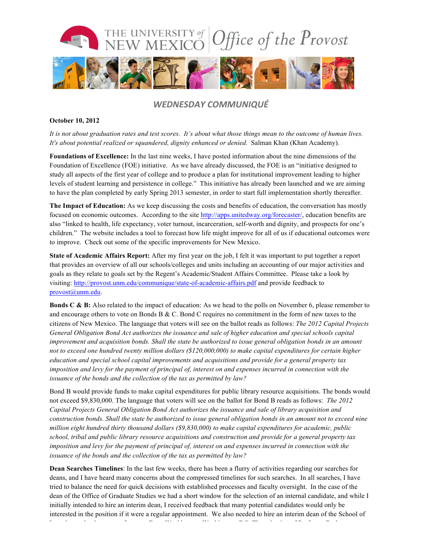

### *WEDNESDAY COMMUNIQUÉ*

#### **October 10, 2012**

*It is not about graduation rates and test scores. It's about what those things mean to the outcome of human lives. It's about potential realized or squandered, dignity enhanced or denied.* Salman Khan (Khan Academy).

**Foundations of Excellence:** In the last nine weeks, I have posted information about the nine dimensions of the Foundation of Excellence (FOE) initiative. As we have already discussed, the FOE is an "initiative designed to study all aspects of the first year of college and to produce a plan for institutional improvement leading to higher levels of student learning and persistence in college." This initiative has already been launched and we are aiming to have the plan completed by early Spring 2013 semester, in order to start full implementation shortly thereafter.

**The Impact of Education:** As we keep discussing the costs and benefits of education, the conversation has mostly focused on economic outcomes. According to the site http://apps.unitedway.org/forecaster/, education benefits are also "linked to health, life expectancy, voter turnout, incarceration, self-worth and dignity, and prospects for one's children." The website includes a tool to forecast how life might improve for all of us if educational outcomes were to improve. Check out some of the specific improvements for New Mexico.

**State of Academic Affairs Report:** After my first year on the job, I felt it was important to put together a report that provides an overview of all our schools/colleges and units including an accounting of our major activities and goals as they relate to goals set by the Regent's Academic/Student Affairs Committee. Please take a look by visiting: http://provost.unm.edu/communique/state-of-academic-affairs.pdf and provide feedback to provost@unm.edu.

**Bonds C & B:** Also related to the impact of education: As we head to the polls on November 6, please remember to and encourage others to vote on Bonds B & C. Bond C requires no commitment in the form of new taxes to the citizens of New Mexico. The language that voters will see on the ballot reads as follows: *The 2012 Capital Projects General Obligation Bond Act authorizes the issuance and sale of higher education and special schools capital improvement and acquisition bonds. Shall the state be authorized to issue general obligation bonds in an amount not to exceed one hundred twenty million dollars (\$120,000,000) to make capital expenditures for certain higher education and special school capital improvements and acquisitions and provide for a general property tax imposition and levy for the payment of principal of, interest on and expenses incurred in connection with the issuance of the bonds and the collection of the tax as permitted by law?*

Bond B would provide funds to make capital expenditures for public library resource acquisitions. The bonds would not exceed \$9,830,000. The language that voters will see on the ballot for Bond B reads as follows: *The 2012 Capital Projects General Obligation Bond Act authorizes the issuance and sale of library acquisition and construction bonds. Shall the state be authorized to issue general obligation bonds in an amount not to exceed nine million eight hundred thirty thousand dollars (\$9,830,000) to make capital expenditures for academic, public school, tribal and public library resource acquisitions and construction and provide for a general property tax imposition and levy for the payment of principal of, interest on and expenses incurred in connection with the issuance of the bonds and the collection of the tax as permitted by law?*

**Dean Searches Timelines**: In the last few weeks, there has been a flurry of activities regarding our searches for deans, and I have heard many concerns about the compressed timelines for such searches. In all searches, I have tried to balance the need for quick decisions with established processes and faculty oversight. In the case of the dean of the Office of Graduate Studies we had a short window for the selection of an internal candidate, and while I initially intended to hire an interim dean, I received feedback that many potential candidates would only be interested in the position if it were a regular appointment. We also needed to hire an interim dean of the School of Law due to the departure of current Dean Washburn to Washington, DC. The selection of Professor Barbara